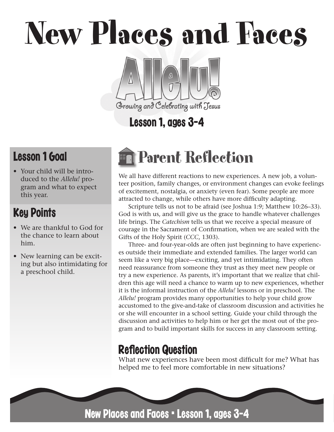New Places and Faces

# ⚠ Growing and Celebrating with Jesus

# Lesson 1, ages 3-4

## Lesson 1 Goal

• Your child will be introduced to the *Allelu!* program and what to expect this year.

## Key Points

- We are thankful to God for the chance to learn about him.
- New learning can be exciting but also intimidating for a preschool child.

# Parent Reflection

We all have different reactions to new experiences. A new job, a volunteer position, family changes, or environment changes can evoke feelings of excitement, nostalgia, or anxiety (even fear). Some people are more attracted to change, while others have more difficulty adapting.

Scripture tells us not to be afraid (see Joshua 1:9; Matthew 10:26–33). God is with us, and will give us the grace to handle whatever challenges life brings. The *Catechism* tells us that we receive a special measure of courage in the Sacrament of Confirmation, when we are sealed with the Gifts of the Holy Spirit (*CCC*, 1303).

Three- and four-year-olds are often just beginning to have experiences outside their immediate and extended families. The larger world can seem like a very big place—exciting, and yet intimidating. They often need reassurance from someone they trust as they meet new people or try a new experience. As parents, it's important that we realize that children this age will need a chance to warm up to new experiences, whether it is the informal instruction of the *Allelu!* lessons or in preschool. The *Allelu!* program provides many opportunities to help your child grow accustomed to the give-and-take of classroom discussion and activities he or she will encounter in a school setting. Guide your child through the discussion and activities to help him or her get the most out of the program and to build important skills for success in any classroom setting.

## **Reflection Question**

What new experiences have been most difficult for me? What has helped me to feel more comfortable in new situations?

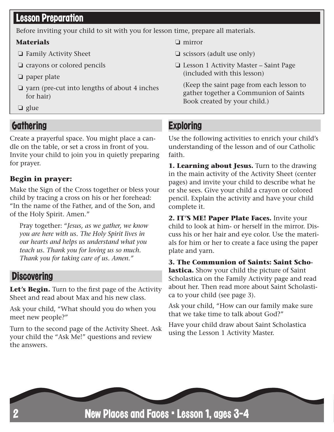## Lesson Preparation

Before inviting your child to sit with you for lesson time, prepare all materials.

#### **Materials**

- ❏ Family Activity Sheet
- ❏ crayons or colored pencils
- ❏ paper plate
- ❏ yarn (pre-cut into lengths of about 4 inches for hair)
- ❏ glue

## **Gathering**

Create a prayerful space. You might place a candle on the table, or set a cross in front of you. Invite your child to join you in quietly preparing for prayer.

#### **Begin in prayer:**

Make the Sign of the Cross together or bless your child by tracing a cross on his or her forehead: "In the name of the Father, and of the Son, and of the Holy Spirit. Amen."

Pray together: "*Jesus, as we gather, we know you are here with us. The Holy Spirit lives in our hearts and helps us understand what you teach us. Thank you for loving us so much. Thank you for taking care of us. Amen."* 

#### **Discovering**

Let's Begin. Turn to the first page of the Activity Sheet and read about Max and his new class.

Ask your child, "What should you do when you meet new people?"

Turn to the second page of the Activity Sheet. Ask your child the "Ask Me!" questions and review the answers.

❏ mirror

- ❏ scissors (adult use only)
- ❏ Lesson 1 Activity Master Saint Page (included with this lesson)

(Keep the saint page from each lesson to gather together a Communion of Saints Book created by your child.)

## **Exploring**

Use the following activities to enrich your child's understanding of the lesson and of our Catholic faith.

**1. Learning about Jesus.** Turn to the drawing in the main activity of the Activity Sheet (center pages) and invite your child to describe what he or she sees. Give your child a crayon or colored pencil. Explain the activity and have your child complete it.

**2. IT'S ME! Paper Plate Faces.** Invite your child to look at him- or herself in the mirror. Discuss his or her hair and eye color. Use the materials for him or her to create a face using the paper plate and yarn.

**3. The Communion of Saints: Saint Scholastica.** Show your child the picture of Saint Scholastica on the Family Activity page and read about her. Then read more about Saint Scholastica to your child (see page 3).

Ask your child, "How can our family make sure that we take time to talk about God?"

Have your child draw about Saint Scholastica using the Lesson 1 Activity Master.

New Places and Faces • Lesson 1, ages 3-4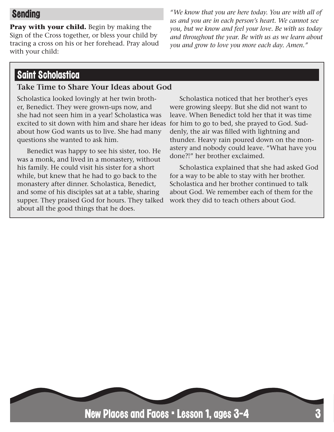## Sending

**Pray with your child.** Begin by making the Sign of the Cross together, or bless your child by tracing a cross on his or her forehead. Pray aloud with your child:

*"We know that you are here today. You are with all of us and you are in each person's heart. We cannot see you, but we know and feel your love. Be with us today and throughout the year. Be with us as we learn about you and grow to love you more each day. Amen."*

#### Saint Scholastica

#### **Take Time to Share Your Ideas about God**

Scholastica looked lovingly at her twin brother, Benedict. They were grown-ups now, and she had not seen him in a year! Scholastica was excited to sit down with him and share her ideas about how God wants us to live. She had many questions she wanted to ask him.

Benedict was happy to see his sister, too. He was a monk, and lived in a monastery, without his family. He could visit his sister for a short while, but knew that he had to go back to the monastery after dinner. Scholastica, Benedict, and some of his disciples sat at a table, sharing supper. They praised God for hours. They talked about all the good things that he does.

Scholastica noticed that her brother's eyes were growing sleepy. But she did not want to leave. When Benedict told her that it was time for him to go to bed, she prayed to God. Suddenly, the air was filled with lightning and thunder. Heavy rain poured down on the monastery and nobody could leave. "What have you done?!" her brother exclaimed.

Scholastica explained that she had asked God for a way to be able to stay with her brother. Scholastica and her brother continued to talk about God. We remember each of them for the work they did to teach others about God.